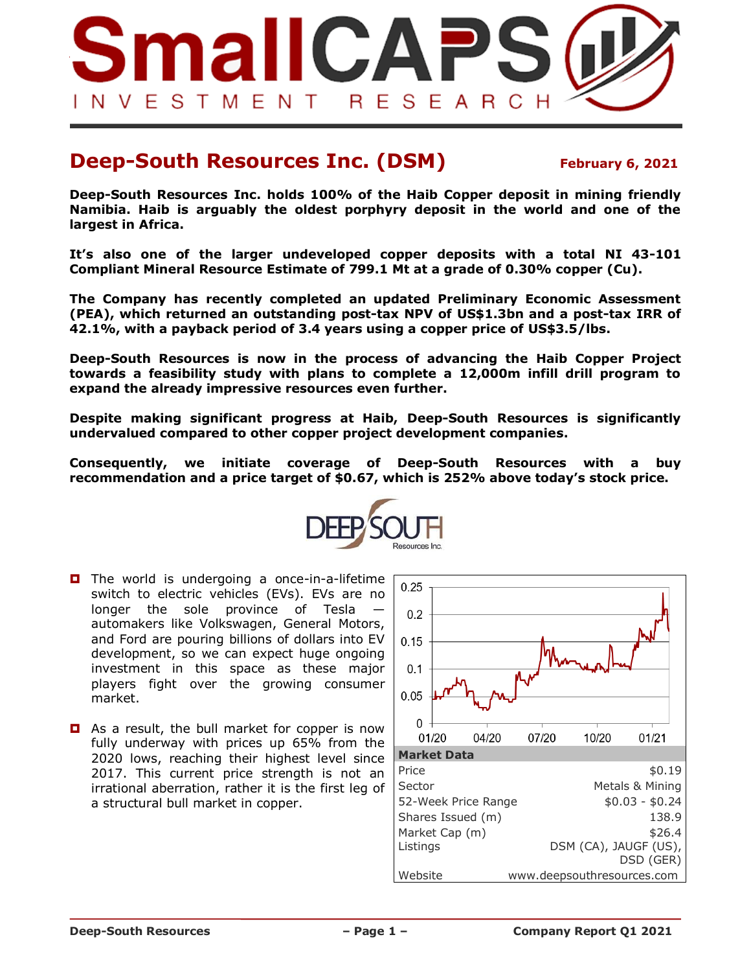

## **Deep-South Resources Inc. (DSM)** February 6, 2021

**Deep-South Resources Inc. holds 100% of the Haib Copper deposit in mining friendly Namibia. Haib is arguably the oldest porphyry deposit in the world and one of the largest in Africa.**

**It's also one of the larger undeveloped copper deposits with a total NI 43-101 Compliant Mineral Resource Estimate of 799.1 Mt at a grade of 0.30% copper (Cu).**

**The Company has recently completed an updated Preliminary Economic Assessment (PEA), which returned an outstanding post-tax NPV of US\$1.3bn and a post-tax IRR of 42.1%, with a payback period of 3.4 years using a copper price of US\$3.5/lbs.**

**Deep-South Resources is now in the process of advancing the Haib Copper Project towards a feasibility study with plans to complete a 12,000m infill drill program to expand the already impressive resources even further.**

**Despite making significant progress at Haib, Deep-South Resources is significantly undervalued compared to other copper project development companies.**

**Consequently, we initiate coverage of Deep-South Resources with a buy recommendation and a price target of \$0.67, which is 252% above today's stock price.**



- $\Box$  The world is undergoing a once-in-a-lifetime switch to electric vehicles (EVs). EVs are no longer the sole province of Tesla automakers like Volkswagen, General Motors, and Ford are pouring billions of dollars into EV development, so we can expect huge ongoing investment in this space as these major players fight over the growing consumer market.
- As a result, the bull market for copper is now fully underway with prices up 65% from the 2020 lows, reaching their highest level since 2017. This current price strength is not an irrational aberration, rather it is the first leg of a structural bull market in copper.

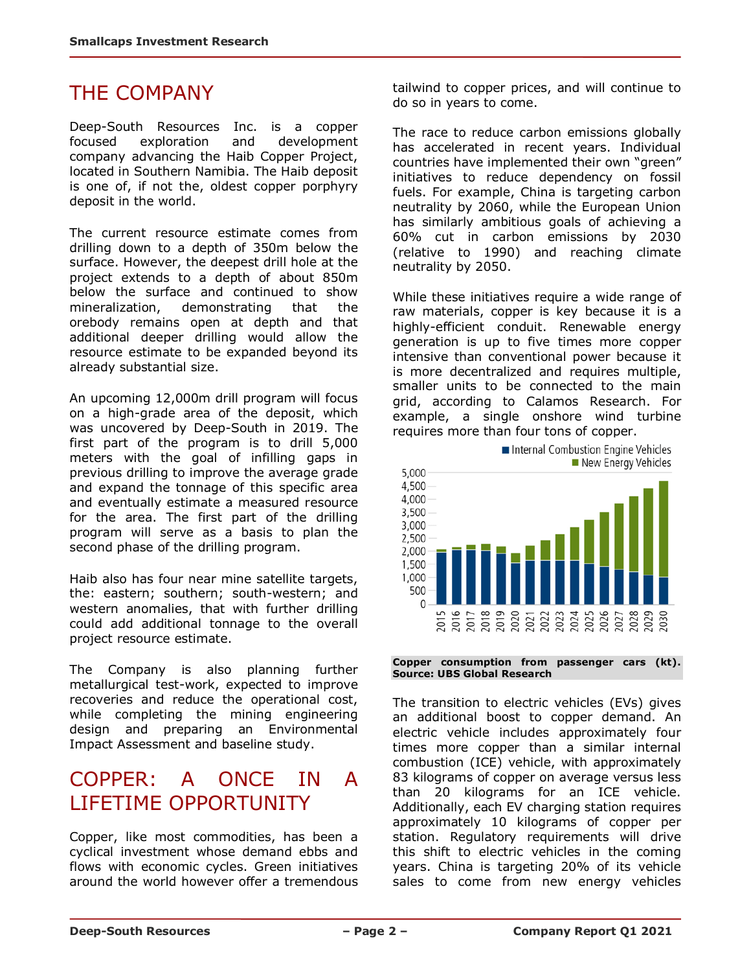## THE COMPANY

Deep-South Resources Inc. is a copper focused exploration and development company advancing the Haib Copper Project, located in Southern Namibia. The Haib deposit is one of, if not the, oldest copper porphyry deposit in the world.

The current resource estimate comes from drilling down to a depth of 350m below the surface. However, the deepest drill hole at the project extends to a depth of about 850m below the surface and continued to show mineralization, demonstrating that the orebody remains open at depth and that additional deeper drilling would allow the resource estimate to be expanded beyond its already substantial size.

An upcoming 12,000m drill program will focus on a high-grade area of the deposit, which was uncovered by Deep-South in 2019. The first part of the program is to drill 5,000 meters with the goal of infilling gaps in previous drilling to improve the average grade and expand the tonnage of this specific area and eventually estimate a measured resource for the area. The first part of the drilling program will serve as a basis to plan the second phase of the drilling program.

Haib also has four near mine satellite targets, the: eastern; southern; south-western; and western anomalies, that with further drilling could add additional tonnage to the overall project resource estimate.

The Company is also planning further metallurgical test-work, expected to improve recoveries and reduce the operational cost, while completing the mining engineering design and preparing an Environmental Impact Assessment and baseline study.

## COPPER: A ONCE IN A LIFETIME OPPORTUNITY

Copper, like most commodities, has been a cyclical investment whose demand ebbs and flows with economic cycles. Green initiatives around the world however offer a tremendous tailwind to copper prices, and will continue to do so in years to come.

The race to reduce carbon emissions globally has accelerated in recent years. Individual countries have implemented their own "green" initiatives to reduce dependency on fossil fuels. For example, China is targeting carbon neutrality by 2060, while the European Union has similarly ambitious goals of achieving a 60% cut in carbon emissions by 2030 (relative to 1990) and reaching climate neutrality by 2050.

While these initiatives require a wide range of raw materials, copper is key because it is a highly-efficient conduit. Renewable energy generation is up to five times more copper intensive than conventional power because it is more decentralized and requires multiple, smaller units to be connected to the main grid, according to Calamos Research. For example, a single onshore wind turbine requires more than four tons of copper.



**Copper consumption from passenger cars (kt). Source: UBS Global Research**

The transition to electric vehicles (EVs) gives an additional boost to copper demand. An electric vehicle includes approximately four times more copper than a similar internal combustion (ICE) vehicle, with approximately 83 kilograms of copper on average versus less than 20 kilograms for an ICE vehicle. Additionally, each EV charging station requires approximately 10 kilograms of copper per station. Regulatory requirements will drive this shift to electric vehicles in the coming years. China is targeting 20% of its vehicle sales to come from new energy vehicles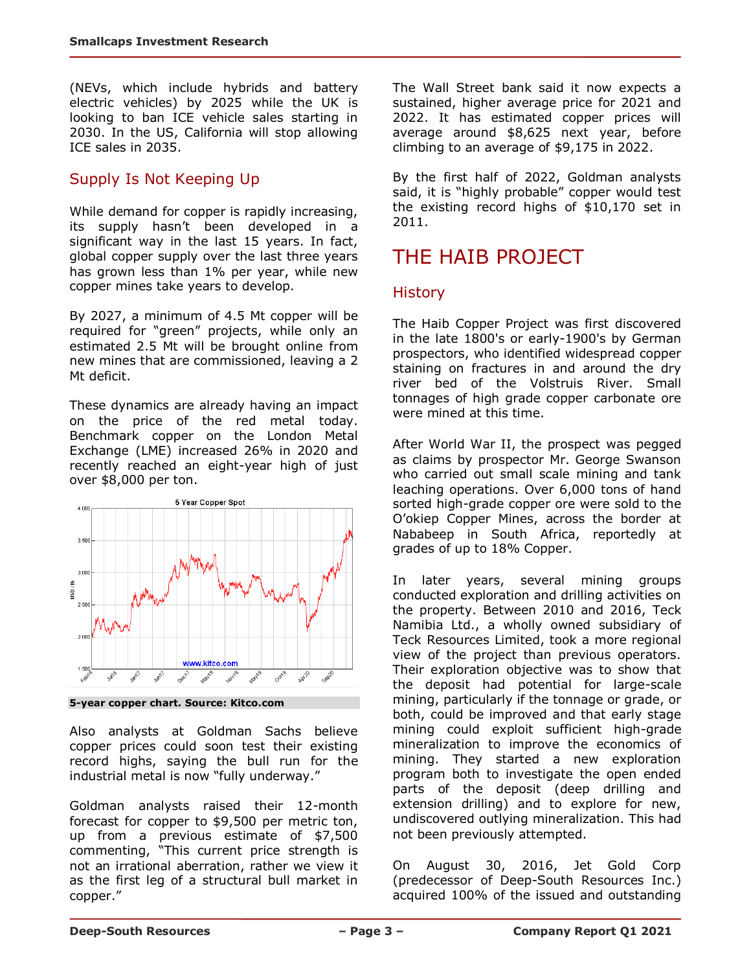(NEVs, which include hybrids and battery electric vehicles) by 2025 while the UK is looking to ban ICE vehicle sales starting in 2030. In the US, California will stop allowing ICE sales in 2035.

### Supply Is Not Keeping Up

While demand for copper is rapidly increasing, its supply hasn't been developed in a significant way in the last 15 years. In fact, global copper supply over the last three years has grown less than 1% per year, while new copper mines take years to develop.

By 2027, a minimum of 4.5 Mt copper will be required for "green" projects, while only an estimated 2.5 Mt will be brought online from new mines that are commissioned, leaving a 2 Mt deficit.

These dynamics are already having an impact on the price of the red metal today. Benchmark copper on the London Metal Exchange (LME) increased 26% in 2020 and recently reached an eight-year high of just over \$8,000 per ton.



**5-year copper chart. Source: Kitco.com** 

Also analysts at Goldman Sachs believe copper prices could soon test their existing record highs, saying the bull run for the industrial metal is now "fully underway."

Goldman analysts raised their 12-month forecast for copper to \$9,500 per metric ton, up from a previous estimate of \$7,500 commenting, "This current price strength is not an irrational aberration, rather we view it as the first leg of a structural bull market in copper."

The Wall Street bank said it now expects a sustained, higher average price for 2021 and 2022. It has estimated copper prices will average around \$8,625 next year, before climbing to an average of \$9,175 in 2022.

By the first half of 2022, Goldman analysts said, it is "highly probable" copper would test the existing record highs of \$10,170 set in 2011.

# THE HAIB PROJECT

### **History**

The Haib Copper Project was first discovered in the late 1800's or early-1900's by German prospectors, who identified widespread copper staining on fractures in and around the dry river bed of the Volstruis River. Small tonnages of high grade copper carbonate ore were mined at this time.

After World War II, the prospect was pegged as claims by prospector Mr. George Swanson who carried out small scale mining and tank leaching operations. Over 6,000 tons of hand sorted high-grade copper ore were sold to the O'okiep Copper Mines, across the border at Nababeep in South Africa, reportedly at grades of up to 18% Copper.

In later years, several mining groups conducted exploration and drilling activities on the property. Between 2010 and 2016, Teck Namibia Ltd., a wholly owned subsidiary of Teck Resources Limited, took a more regional view of the project than previous operators. Their exploration objective was to show that the deposit had potential for large-scale mining, particularly if the tonnage or grade, or both, could be improved and that early stage mining could exploit sufficient high-grade mineralization to improve the economics of mining. They started a new exploration program both to investigate the open ended parts of the deposit (deep drilling and extension drilling) and to explore for new, undiscovered outlying mineralization. This had not been previously attempted.

On August 30, 2016, Jet Gold Corp (predecessor of Deep-South Resources Inc.) acquired 100% of the issued and outstanding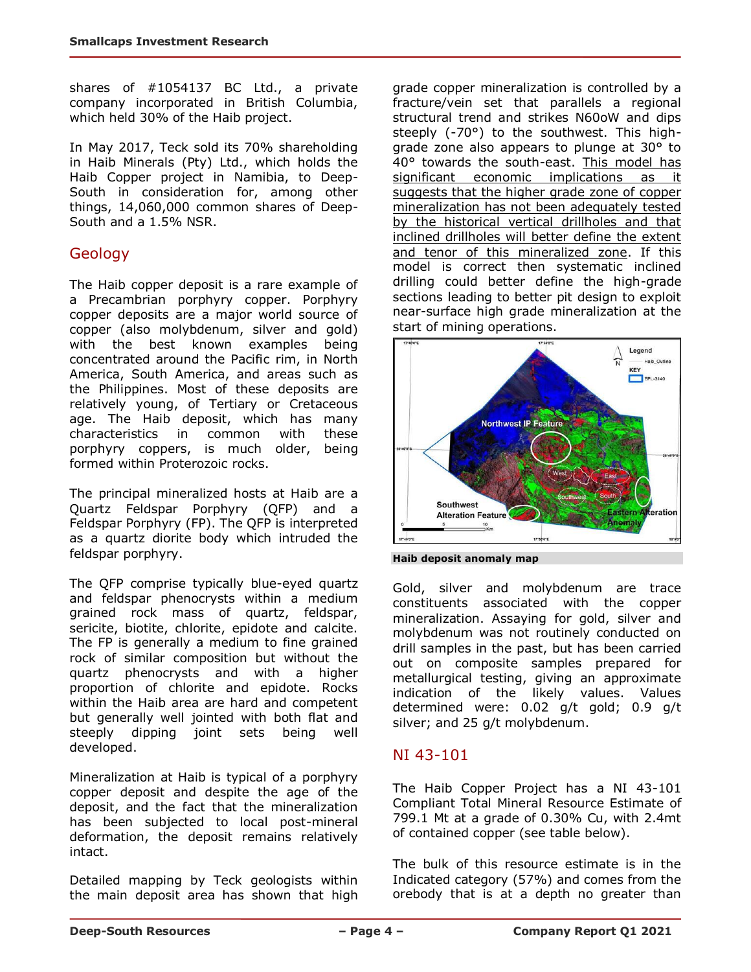shares of #1054137 BC Ltd., a private company incorporated in British Columbia, which held 30% of the Haib project.

In May 2017, Teck sold its 70% shareholding in Haib Minerals (Pty) Ltd., which holds the Haib Copper project in Namibia, to Deep-South in consideration for, among other things, 14,060,000 common shares of Deep-South and a 1.5% NSR.

### **Geology**

The Haib copper deposit is a rare example of a Precambrian porphyry copper. Porphyry copper deposits are a major world source of copper (also molybdenum, silver and gold) with the best known examples being concentrated around the Pacific rim, in North America, South America, and areas such as the Philippines. Most of these deposits are relatively young, of Tertiary or Cretaceous age. The Haib deposit, which has many characteristics in common with these porphyry coppers, is much older, being formed within Proterozoic rocks.

The principal mineralized hosts at Haib are a Quartz Feldspar Porphyry (QFP) and a Feldspar Porphyry (FP). The QFP is interpreted as a quartz diorite body which intruded the feldspar porphyry.

The QFP comprise typically blue-eyed quartz and feldspar phenocrysts within a medium grained rock mass of quartz, feldspar, sericite, biotite, chlorite, epidote and calcite. The FP is generally a medium to fine grained rock of similar composition but without the quartz phenocrysts and with a higher proportion of chlorite and epidote. Rocks within the Haib area are hard and competent but generally well jointed with both flat and steeply dipping joint sets being well developed.

Mineralization at Haib is typical of a porphyry copper deposit and despite the age of the deposit, and the fact that the mineralization has been subjected to local post-mineral deformation, the deposit remains relatively intact.

Detailed mapping by Teck geologists within the main deposit area has shown that high grade copper mineralization is controlled by a fracture/vein set that parallels a regional structural trend and strikes N60oW and dips steeply (-70°) to the southwest. This highgrade zone also appears to plunge at 30° to 40° towards the south-east. This model has significant economic implications as it suggests that the higher grade zone of copper mineralization has not been adequately tested by the historical vertical drillholes and that inclined drillholes will better define the extent and tenor of this mineralized zone. If this model is correct then systematic inclined drilling could better define the high-grade sections leading to better pit design to exploit near-surface high grade mineralization at the start of mining operations.



**Haib deposit anomaly map**

Gold, silver and molybdenum are trace constituents associated with the copper mineralization. Assaying for gold, silver and molybdenum was not routinely conducted on drill samples in the past, but has been carried out on composite samples prepared for metallurgical testing, giving an approximate indication of the likely values. Values determined were: 0.02 g/t gold; 0.9 g/t silver; and 25 g/t molybdenum.

### NI 43-101

The Haib Copper Project has a NI 43-101 Compliant Total Mineral Resource Estimate of 799.1 Mt at a grade of 0.30% Cu, with 2.4mt of contained copper (see table below).

The bulk of this resource estimate is in the Indicated category (57%) and comes from the orebody that is at a depth no greater than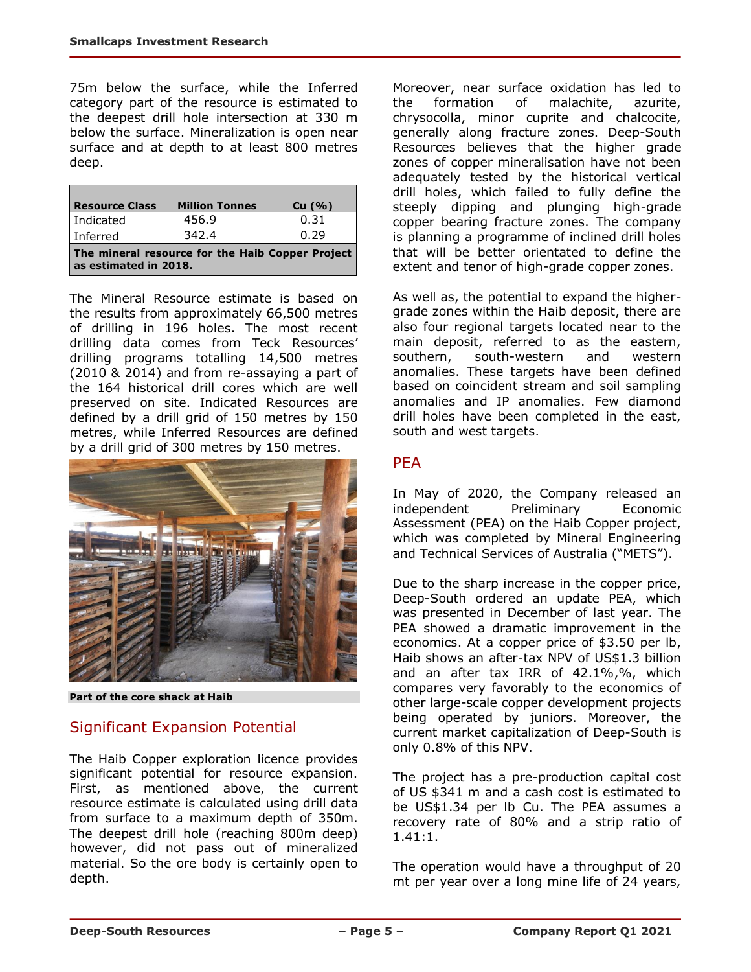75m below the surface, while the Inferred category part of the resource is estimated to the deepest drill hole intersection at 330 m below the surface. Mineralization is open near surface and at depth to at least 800 metres deep.

| <b>Resource Class</b>                                                     | <b>Million Tonnes</b> | Cu (%) |  |  |  |  |
|---------------------------------------------------------------------------|-----------------------|--------|--|--|--|--|
| l Indicated                                                               | 456.9                 | 0.31   |  |  |  |  |
| Inferred                                                                  | 342.4                 | 0.29   |  |  |  |  |
| The mineral resource for the Haib Copper Project<br>as estimated in 2018. |                       |        |  |  |  |  |

The Mineral Resource estimate is based on the results from approximately 66,500 metres of drilling in 196 holes. The most recent drilling data comes from Teck Resources' drilling programs totalling 14,500 metres (2010 & 2014) and from re-assaying a part of the 164 historical drill cores which are well preserved on site. Indicated Resources are defined by a drill grid of 150 metres by 150 metres, while Inferred Resources are defined by a drill grid of 300 metres by 150 metres.



**Part of the core shack at Haib**

### Significant Expansion Potential

The Haib Copper exploration licence provides significant potential for resource expansion. First, as mentioned above, the current resource estimate is calculated using drill data from surface to a maximum depth of 350m. The deepest drill hole (reaching 800m deep) however, did not pass out of mineralized material. So the ore body is certainly open to depth.

Moreover, near surface oxidation has led to the formation of malachite, azurite, chrysocolla, minor cuprite and chalcocite, generally along fracture zones. Deep-South Resources believes that the higher grade zones of copper mineralisation have not been adequately tested by the historical vertical drill holes, which failed to fully define the steeply dipping and plunging high-grade copper bearing fracture zones. The company is planning a programme of inclined drill holes that will be better orientated to define the extent and tenor of high-grade copper zones.

As well as, the potential to expand the highergrade zones within the Haib deposit, there are also four regional targets located near to the main deposit, referred to as the eastern, southern, south-western and western anomalies. These targets have been defined based on coincident stream and soil sampling anomalies and IP anomalies. Few diamond drill holes have been completed in the east, south and west targets.

### **PFA**

In May of 2020, the Company released an independent Preliminary Economic Assessment (PEA) on the Haib Copper project, which was completed by Mineral Engineering and Technical Services of Australia ("METS").

Due to the sharp increase in the copper price, Deep-South ordered an update PEA, which was presented in December of last year. The PEA showed a dramatic improvement in the economics. At a copper price of \$3.50 per lb, Haib shows an after-tax NPV of US\$1.3 billion and an after tax IRR of 42.1%,%, which compares very favorably to the economics of other large-scale copper development projects being operated by juniors. Moreover, the current market capitalization of Deep-South is only 0.8% of this NPV.

The project has a pre-production capital cost of US \$341 m and a cash cost is estimated to be US\$1.34 per lb Cu. The PEA assumes a recovery rate of 80% and a strip ratio of 1.41:1.

The operation would have a throughput of 20 mt per year over a long mine life of 24 years,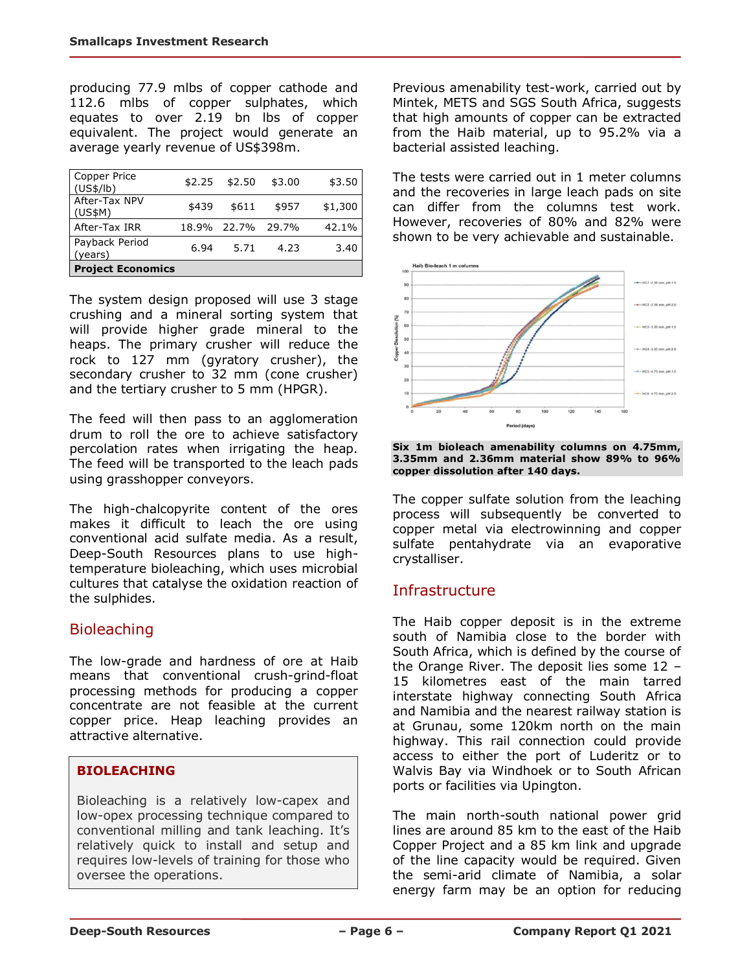producing 77.9 mlbs of copper cathode and 112.6 mlbs of copper sulphates, which equates to over 2.19 bn lbs of copper equivalent. The project would generate an average yearly revenue of US\$398m.

| Copper Price<br>(US\$/lb) | \$2.25 | \$2.50            | \$3.00 | \$3.50  |
|---------------------------|--------|-------------------|--------|---------|
| After-Tax NPV<br>(US\$M)  | \$439  | \$611             | \$957  | \$1,300 |
| After-Tax IRR             |        | 18.9% 22.7% 29.7% |        | 42.1%   |
| Payback Period<br>(years) | 6.94   | 5.71              | 4.23   | 3.40    |
| <b>Project Economics</b>  |        |                   |        |         |

The system design proposed will use 3 stage crushing and a mineral sorting system that will provide higher grade mineral to the heaps. The primary crusher will reduce the rock to 127 mm (gyratory crusher), the secondary crusher to 32 mm (cone crusher) and the tertiary crusher to 5 mm (HPGR).

The feed will then pass to an agglomeration drum to roll the ore to achieve satisfactory percolation rates when irrigating the heap. The feed will be transported to the leach pads using grasshopper conveyors.

The high-chalcopyrite content of the ores makes it difficult to leach the ore using conventional acid sulfate media. As a result, Deep-South Resources plans to use hightemperature bioleaching, which uses microbial cultures that catalyse the oxidation reaction of the sulphides.

## Bioleaching

The low-grade and hardness of ore at Haib means that conventional crush-grind-float processing methods for producing a copper concentrate are not feasible at the current copper price. Heap leaching provides an attractive alternative.

### **BIOLEACHING**

Bioleaching is a relatively low-capex and low-opex processing technique compared to conventional milling and tank leaching. It's relatively quick to install and setup and requires low-levels of training for those who oversee the operations.

Previous amenability test-work, carried out by Mintek, METS and SGS South Africa, suggests that high amounts of copper can be extracted from the Haib material, up to 95.2% via a bacterial assisted leaching.

The tests were carried out in 1 meter columns and the recoveries in large leach pads on site can differ from the columns test work. However, recoveries of 80% and 82% were shown to be very achievable and sustainable.



**Six 1m bioleach amenability columns on 4.75mm, 3.35mm and 2.36mm material show 89% to 96% copper dissolution after 140 days.**

The copper sulfate solution from the leaching process will subsequently be converted to copper metal via electrowinning and copper sulfate pentahydrate via an evaporative crystalliser.

## Infrastructure

The Haib copper deposit is in the extreme south of Namibia close to the border with South Africa, which is defined by the course of the Orange River. The deposit lies some 12 – 15 kilometres east of the main tarred interstate highway connecting South Africa and Namibia and the nearest railway station is at Grunau, some 120km north on the main highway. This rail connection could provide access to either the port of Luderitz or to Walvis Bay via Windhoek or to South African ports or facilities via Upington.

The main north-south national power grid lines are around 85 km to the east of the Haib Copper Project and a 85 km link and upgrade of the line capacity would be required. Given the semi-arid climate of Namibia, a solar energy farm may be an option for reducing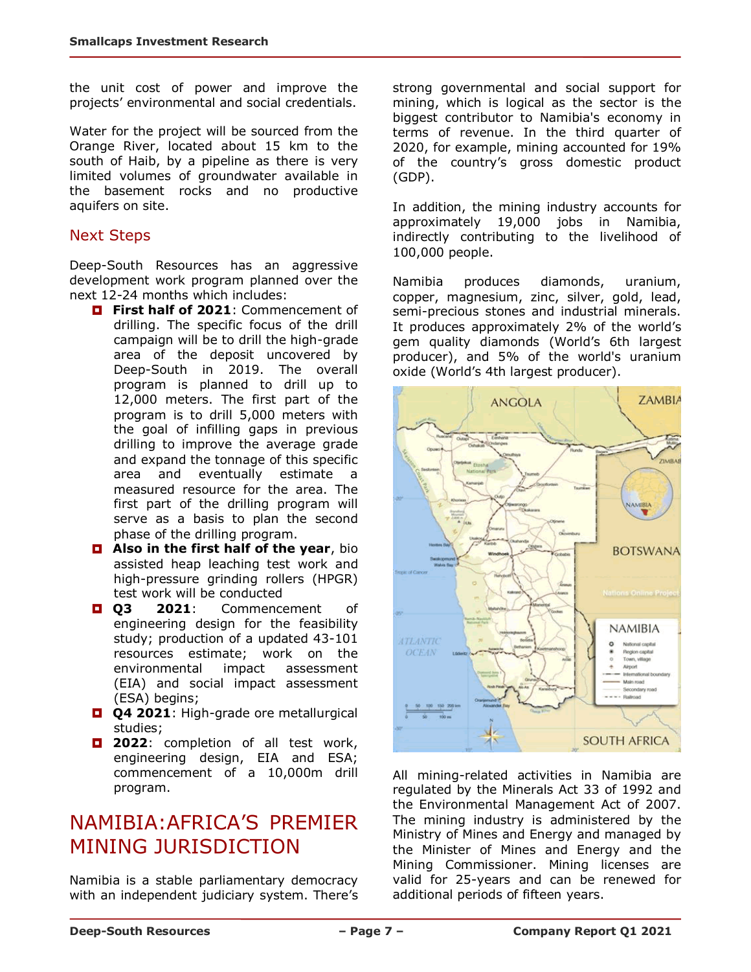the unit cost of power and improve the projects' environmental and social credentials.

Water for the project will be sourced from the Orange River, located about 15 km to the south of Haib, by a pipeline as there is very limited volumes of groundwater available in the basement rocks and no productive aquifers on site.

### Next Steps

Deep-South Resources has an aggressive development work program planned over the next 12-24 months which includes:

- **First half of 2021: Commencement of** drilling. The specific focus of the drill campaign will be to drill the high-grade area of the deposit uncovered by Deep-South in 2019. The overall program is planned to drill up to 12,000 meters. The first part of the program is to drill 5,000 meters with the goal of infilling gaps in previous drilling to improve the average grade and expand the tonnage of this specific area and eventually estimate a measured resource for the area. The first part of the drilling program will serve as a basis to plan the second phase of the drilling program.
- **Also in the first half of the year, bio** assisted heap leaching test work and high-pressure grinding rollers (HPGR) test work will be conducted
- **Q3 2021**: Commencement of engineering design for the feasibility study; production of a updated 43-101 resources estimate; work on the environmental impact assessment (EIA) and social impact assessment (ESA) begins;
- **Q4 2021:** High-grade ore metallurgical studies;
- **2022**: completion of all test work, engineering design, EIA and ESA; commencement of a 10,000m drill program.

# NAMIBIA:AFRICA'S PREMIER MINING JURISDICTION

Namibia is a stable parliamentary democracy with an independent judiciary system. There's strong governmental and social support for mining, which is logical as the sector is the biggest contributor to Namibia's economy in terms of revenue. In the third quarter of 2020, for example, mining accounted for 19% of the country's gross domestic product (GDP).

In addition, the mining industry accounts for approximately 19,000 jobs in Namibia, indirectly contributing to the livelihood of 100,000 people.

Namibia produces diamonds, uranium, copper, magnesium, zinc, silver, gold, lead, semi-precious stones and industrial minerals. It produces approximately 2% of the world's gem quality diamonds (World's 6th largest producer), and 5% of the world's uranium oxide (World's 4th largest producer).



All mining-related activities in Namibia are regulated by the Minerals Act 33 of 1992 and the Environmental Management Act of 2007. The mining industry is administered by the Ministry of Mines and Energy and managed by the Minister of Mines and Energy and the Mining Commissioner. Mining licenses are valid for 25-years and can be renewed for additional periods of fifteen years.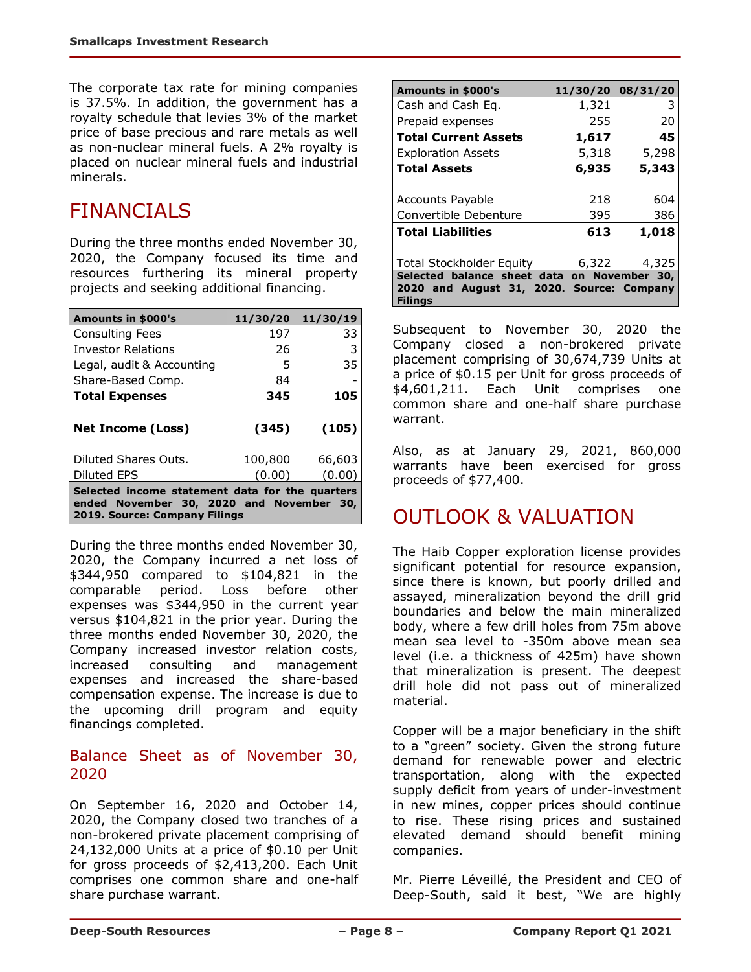The corporate tax rate for mining companies is 37.5%. In addition, the government has a royalty schedule that levies 3% of the market price of base precious and rare metals as well as non-nuclear mineral fuels. A 2% royalty is placed on nuclear mineral fuels and industrial minerals.

# FINANCIALS

During the three months ended November 30, 2020, the Company focused its time and resources furthering its mineral property projects and seeking additional financing.

| <b>Amounts in \$000's</b> | 11/30/20 | 11/30/19 |
|---------------------------|----------|----------|
| <b>Consulting Fees</b>    | 197      | 33       |
| <b>Investor Relations</b> | 26       | 3        |
| Legal, audit & Accounting | 5        | 35       |
| Share-Based Comp.         | 84       |          |
| <b>Total Expenses</b>     | 345      | 105      |
| <b>Net Income (Loss)</b>  | (345)    | (105)    |
|                           |          |          |
| Diluted Shares Outs.      | 100,800  | 66,603   |
| Diluted EPS               | (0.00)   | (0.00)   |

During the three months ended November 30, 2020, the Company incurred a net loss of \$344,950 compared to \$104,821 in the comparable period. Loss before other expenses was \$344,950 in the current year versus \$104,821 in the prior year. During the three months ended November 30, 2020, the Company increased investor relation costs, increased consulting and management expenses and increased the share-based compensation expense. The increase is due to the upcoming drill program and equity financings completed.

#### Balance Sheet as of November 30, 2020

On September 16, 2020 and October 14, 2020, the Company closed two tranches of a non-brokered private placement comprising of 24,132,000 Units at a price of \$0.10 per Unit for gross proceeds of \$2,413,200. Each Unit comprises one common share and one-half share purchase warrant.

| Amounts in \$000's                          |       | 11/30/20 08/31/20 |  |  |
|---------------------------------------------|-------|-------------------|--|--|
| Cash and Cash Eq.                           | 1,321 | 3                 |  |  |
| Prepaid expenses                            | 255   | 20                |  |  |
| <b>Total Current Assets</b>                 | 1,617 | 45                |  |  |
| <b>Exploration Assets</b>                   | 5,318 | 5,298             |  |  |
| <b>Total Assets</b>                         | 6,935 | 5,343             |  |  |
|                                             |       |                   |  |  |
| Accounts Payable                            | 218   | 604               |  |  |
| Convertible Debenture                       | 395   | 386               |  |  |
| <b>Total Liabilities</b>                    | 613   | 1,018             |  |  |
|                                             |       |                   |  |  |
| Total Stockholder Equity                    | 6,322 | 4,325             |  |  |
| Selected balance sheet data on November 30, |       |                   |  |  |
| 2020 and August 31, 2020. Source: Company   |       |                   |  |  |
| Filings                                     |       |                   |  |  |

Subsequent to November 30, 2020 the Company closed a non-brokered private placement comprising of 30,674,739 Units at a price of \$0.15 per Unit for gross proceeds of \$4,601,211. Each Unit comprises one common share and one-half share purchase warrant.

Also, as at January 29, 2021, 860,000 warrants have been exercised for gross proceeds of \$77,400.

# OUTLOOK & VALUATION

The Haib Copper exploration license provides significant potential for resource expansion, since there is known, but poorly drilled and assayed, mineralization beyond the drill grid boundaries and below the main mineralized body, where a few drill holes from 75m above mean sea level to -350m above mean sea level (i.e. a thickness of 425m) have shown that mineralization is present. The deepest drill hole did not pass out of mineralized material.

Copper will be a major beneficiary in the shift to a "green" society. Given the strong future demand for renewable power and electric transportation, along with the expected supply deficit from years of under-investment in new mines, copper prices should continue to rise. These rising prices and sustained elevated demand should benefit mining companies.

Mr. Pierre Léveillé, the President and CEO of Deep-South, said it best, "We are highly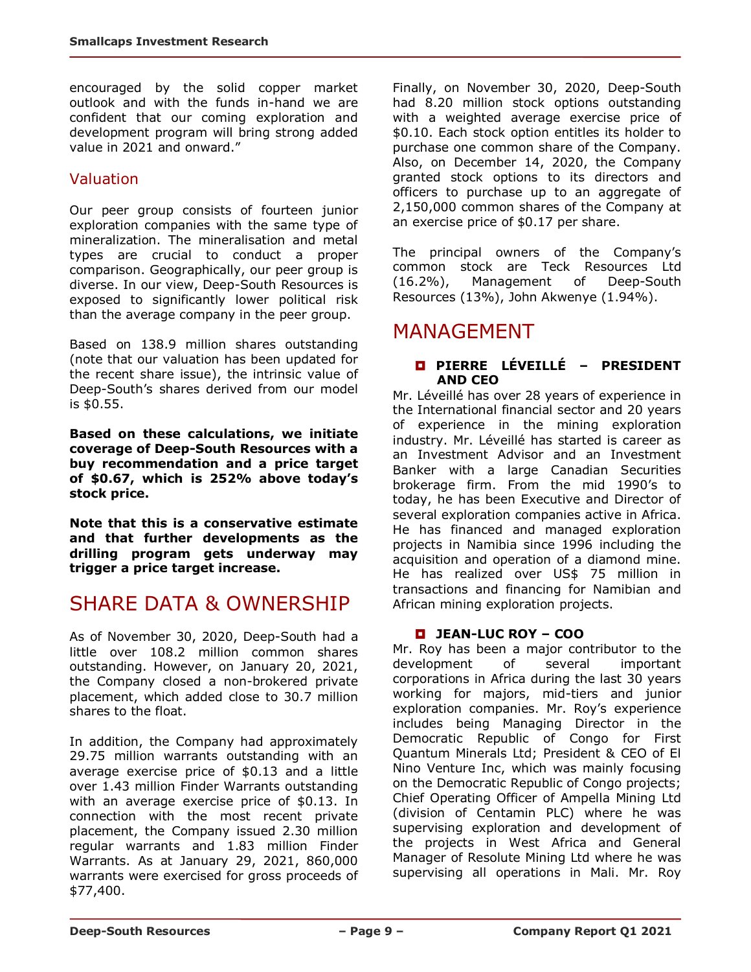encouraged by the solid copper market outlook and with the funds in-hand we are confident that our coming exploration and development program will bring strong added value in 2021 and onward."

### Valuation

Our peer group consists of fourteen junior exploration companies with the same type of mineralization. The mineralisation and metal types are crucial to conduct a proper comparison. Geographically, our peer group is diverse. In our view, Deep-South Resources is exposed to significantly lower political risk than the average company in the peer group.

Based on 138.9 million shares outstanding (note that our valuation has been updated for the recent share issue), the intrinsic value of Deep-South's shares derived from our model is \$0.55.

**Based on these calculations, we initiate coverage of Deep-South Resources with a buy recommendation and a price target of \$0.67, which is 252% above today's stock price.** 

**Note that this is a conservative estimate and that further developments as the drilling program gets underway may trigger a price target increase.**

## SHARE DATA & OWNERSHIP

As of November 30, 2020, Deep-South had a little over 108.2 million common shares outstanding. However, on January 20, 2021, the Company closed a non-brokered private placement, which added close to 30.7 million shares to the float.

In addition, the Company had approximately 29.75 million warrants outstanding with an average exercise price of \$0.13 and a little over 1.43 million Finder Warrants outstanding with an average exercise price of \$0.13. In connection with the most recent private placement, the Company issued 2.30 million regular warrants and 1.83 million Finder Warrants. As at January 29, 2021, 860,000 warrants were exercised for gross proceeds of \$77,400.

Finally, on November 30, 2020, Deep-South had 8.20 million stock options outstanding with a weighted average exercise price of \$0.10. Each stock option entitles its holder to purchase one common share of the Company. Also, on December 14, 2020, the Company granted stock options to its directors and officers to purchase up to an aggregate of 2,150,000 common shares of the Company at an exercise price of \$0.17 per share.

The principal owners of the Company's common stock are Teck Resources Ltd (16.2%), Management of Deep-South Resources (13%), John Akwenye (1.94%).

## MANAGEMENT

#### **PIERRE LÉVEILLÉ – PRESIDENT AND CEO**

Mr. Léveillé has over 28 years of experience in the International financial sector and 20 years of experience in the mining exploration industry. Mr. Léveillé has started is career as an Investment Advisor and an Investment Banker with a large Canadian Securities brokerage firm. From the mid 1990's to today, he has been Executive and Director of several exploration companies active in Africa. He has financed and managed exploration projects in Namibia since 1996 including the acquisition and operation of a diamond mine. He has realized over US\$ 75 million in transactions and financing for Namibian and African mining exploration projects.

#### **JEAN-LUC ROY – COO**

Mr. Roy has been a major contributor to the development of several important corporations in Africa during the last 30 years working for majors, mid-tiers and junior exploration companies. Mr. Roy's experience includes being Managing Director in the Democratic Republic of Congo for First Quantum Minerals Ltd; President & CEO of El Nino Venture Inc, which was mainly focusing on the Democratic Republic of Congo projects; Chief Operating Officer of Ampella Mining Ltd (division of Centamin PLC) where he was supervising exploration and development of the projects in West Africa and General Manager of Resolute Mining Ltd where he was supervising all operations in Mali. Mr. Roy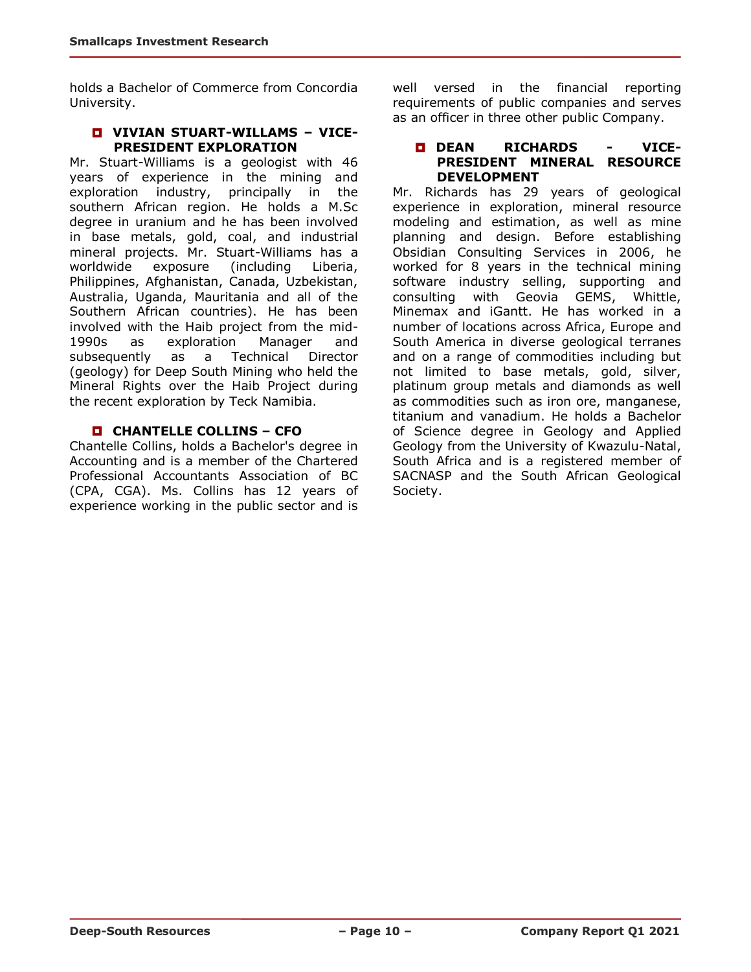holds a Bachelor of Commerce from Concordia University.

#### **VIVIAN STUART-WILLAMS – VICE-PRESIDENT EXPLORATION**

Mr. Stuart-Williams is a geologist with 46 years of experience in the mining and exploration industry, principally in the southern African region. He holds a M.Sc degree in uranium and he has been involved in base metals, gold, coal, and industrial mineral projects. Mr. Stuart-Williams has a worldwide exposure (including Liberia, Philippines, Afghanistan, Canada, Uzbekistan, Australia, Uganda, Mauritania and all of the Southern African countries). He has been involved with the Haib project from the mid-1990s as exploration Manager and subsequently as a Technical Director (geology) for Deep South Mining who held the Mineral Rights over the Haib Project during the recent exploration by Teck Namibia.

#### **CHANTELLE COLLINS – CFO**

Chantelle Collins, holds a Bachelor's degree in Accounting and is a member of the Chartered Professional Accountants Association of BC (CPA, CGA). Ms. Collins has 12 years of experience working in the public sector and is well versed in the financial reporting requirements of public companies and serves as an officer in three other public Company.

#### **DEAN RICHARDS - VICE-PRESIDENT MINERAL RESOURCE DEVELOPMENT**

Mr. Richards has 29 years of geological experience in exploration, mineral resource modeling and estimation, as well as mine planning and design. Before establishing Obsidian Consulting Services in 2006, he worked for 8 years in the technical mining software industry selling, supporting and consulting with Geovia GEMS, Whittle, Minemax and iGantt. He has worked in a number of locations across Africa, Europe and South America in diverse geological terranes and on a range of commodities including but not limited to base metals, gold, silver, platinum group metals and diamonds as well as commodities such as iron ore, manganese, titanium and vanadium. He holds a Bachelor of Science degree in Geology and Applied Geology from the University of Kwazulu-Natal, South Africa and is a registered member of SACNASP and the South African Geological Society.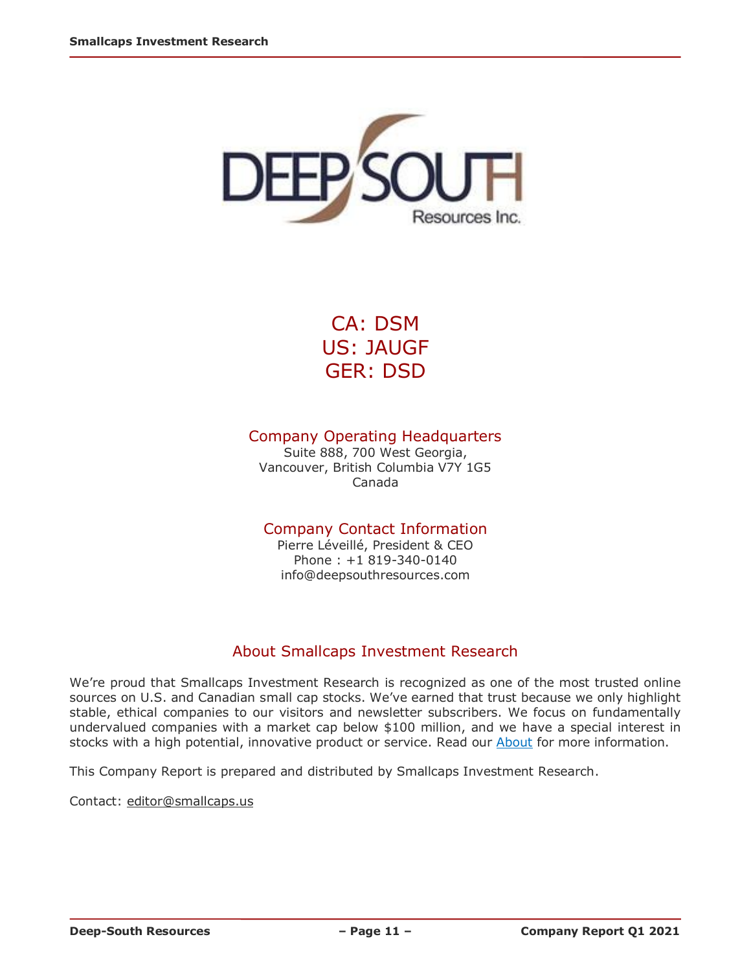

CA: DSM US: JAUGF GER: DSD

### Company Operating Headquarters

Suite 888, 700 West Georgia, Vancouver, British Columbia V7Y 1G5 Canada

### Company Contact Information

Pierre Léveillé, President & CEO Phone : +1 819-340-0140 info@deepsouthresources.com

### About Smallcaps Investment Research

We're proud that Smallcaps Investment Research is recognized as one of the most trusted online sources on U.S. and Canadian small cap stocks. We've earned that trust because we only highlight stable, ethical companies to our visitors and newsletter subscribers. We focus on fundamentally undervalued companies with a market cap below \$100 million, and we have a special interest in stocks with a high potential, innovative product or service. Read our **About** for more information.

This Company Report is prepared and distributed by Smallcaps Investment Research.

Contact: [editor@smallcaps.us](mailto:editor@smallcaps.us)